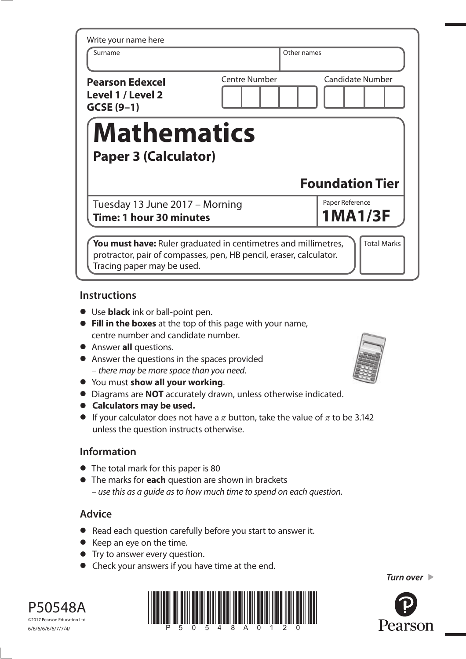| Write your name here                                       |                      |                                   |
|------------------------------------------------------------|----------------------|-----------------------------------|
| Surname                                                    |                      | Other names                       |
| <b>Pearson Edexcel</b><br>Level 1 / Level 2<br>$GCSE(9-1)$ | <b>Centre Number</b> | <b>Candidate Number</b>           |
|                                                            |                      |                                   |
| <b>Mathematics</b>                                         |                      |                                   |
| <b>Paper 3 (Calculator)</b>                                |                      |                                   |
|                                                            |                      | <b>Foundation Tier</b>            |
| Tuesday 13 June 2017 - Morning                             |                      | Paper Reference<br><b>1MA1/3F</b> |

## **Instructions**

- **•** Use **black** ink or ball-point pen.
- **• Fill in the boxes** at the top of this page with your name, centre number and candidate number.
- **•** Answer **all** questions.
- **•** Answer the questions in the spaces provided – there may be more space than you need.
- **•** You must **show all your working**.
- **•** You must **show all your working**.<br>**•** Diagrams are **NOT** accurately drawn, unless otherwise indicated.
- **•** Diagrams are **NOT** accurate<br>**•** Calculators may be used.
- **• Calculators may be used.**<br>• If your calculator does not have a  $\pi$  button, take the value of  $\pi$  to be 3.142 unless the question instructs otherwise.

# **Information**

- **•** The total mark for this paper is 80
- **•** The marks for **each** question are shown in brackets – use this as a guide as to how much time to spend on each question.

# **Advice**

- **•** Read each question carefully before you start to answer it.
- **•** Keep an eye on the time.
- **•** Try to answer every question.
- **•** Check your answers if you have time at the end.



P50548A ©2017 Pearson Education Ltd. 6/6/6/6/6/6/7/7/4/





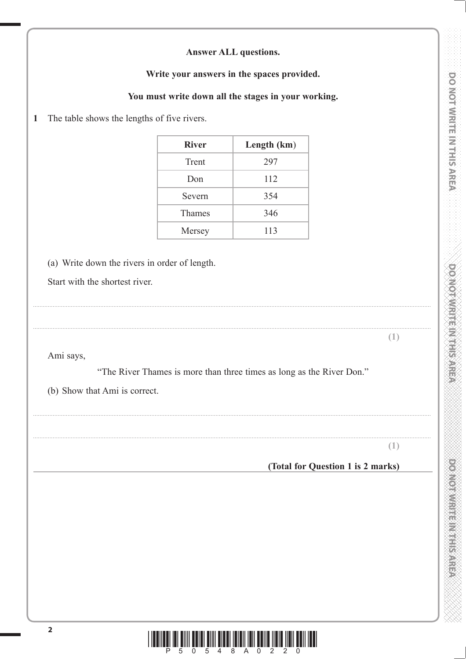|  | <b>Answer ALL questions.</b> |
|--|------------------------------|
|--|------------------------------|

Write your answers in the spaces provided.

You must write down all the stages in your working.

The table shows the lengths of five rivers.  $\mathbf{1}$ 

| <b>River</b> | Length (km) |
|--------------|-------------|
| Trent        | 297         |
| Don          | 112         |
| Severn       | 354         |
| Thames       | 346         |
| Mersey       | 113         |

(a) Write down the rivers in order of length.

Start with the shortest river.

Ami says,

"The River Thames is more than three times as long as the River Don."

(b) Show that Ami is correct.

 $(1)$ 

 $(1)$ 

## (Total for Question 1 is 2 marks)

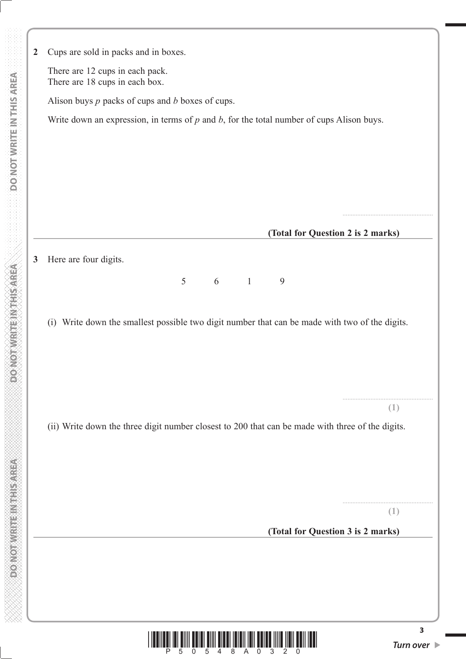| $\overline{2}$ | Cups are sold in packs and in boxes.                                                             |
|----------------|--------------------------------------------------------------------------------------------------|
|                | There are 12 cups in each pack.                                                                  |
|                | There are 18 cups in each box.                                                                   |
|                | Alison buys $p$ packs of cups and $b$ boxes of cups.                                             |
|                | Write down an expression, in terms of $p$ and $b$ , for the total number of cups Alison buys.    |
|                |                                                                                                  |
|                |                                                                                                  |
|                |                                                                                                  |
|                |                                                                                                  |
|                |                                                                                                  |
|                | (Total for Question 2 is 2 marks)                                                                |
| $\mathbf{3}$   | Here are four digits.                                                                            |
|                | 6<br>5<br>$\overline{1}$<br>9                                                                    |
|                |                                                                                                  |
|                | (i) Write down the smallest possible two digit number that can be made with two of the digits.   |
|                |                                                                                                  |
|                |                                                                                                  |
|                |                                                                                                  |
|                | (1)                                                                                              |
|                | (ii) Write down the three digit number closest to 200 that can be made with three of the digits. |
|                |                                                                                                  |
|                |                                                                                                  |
|                |                                                                                                  |
|                |                                                                                                  |
|                | (1)                                                                                              |
|                | (Total for Question 3 is 2 marks)                                                                |
|                |                                                                                                  |
|                |                                                                                                  |
|                |                                                                                                  |
|                |                                                                                                  |
|                | 3                                                                                                |

 **DO NOT WRITE IN THIS AREA DO NOT WRITE IN THIS AREA DO NOT WRITE IN THIS AREA DO NOT WRITE IN THIS AREA DO NOT** 

**Example 20 April 2010 Market According to April 2010** 

**DONOTWRITEINTHSAREA** 

DO NOT WRITE IN THIS AREA

 $\frac{1}{2}$   $\frac{1}{2}$   $\frac{1}{2}$   $\frac{1}{6}$   $\frac{1}{5}$   $\frac{1}{6}$   $\frac{1}{5}$   $\frac{1}{6}$   $\frac{1}{4}$   $\frac{1}{8}$   $\frac{1}{4}$   $\frac{1}{8}$   $\frac{1}{4}$   $\frac{1}{8}$   $\frac{1}{10}$   $\frac{1}{3}$   $\frac{1}{2}$   $\frac{1}{2}$   $\frac{1}{0}$   $\frac{1}{10}$   $\frac{1}{10}$   $\frac{1}{10$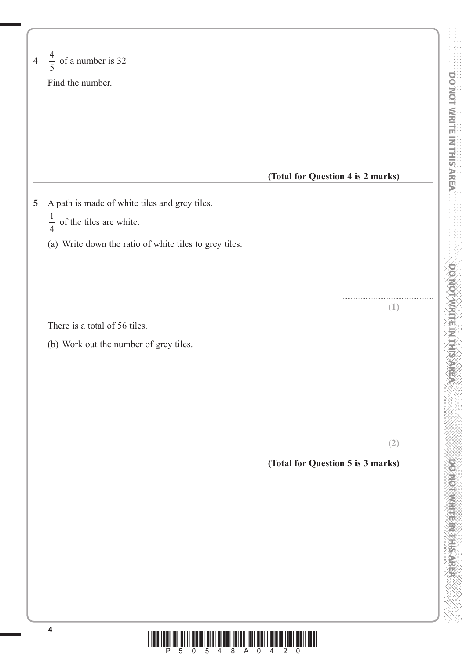| $\frac{4}{5}$ of a number is 32                        |                                   |  |
|--------------------------------------------------------|-----------------------------------|--|
| Find the number.                                       |                                   |  |
|                                                        |                                   |  |
|                                                        |                                   |  |
|                                                        |                                   |  |
|                                                        |                                   |  |
|                                                        | (Total for Question 4 is 2 marks) |  |
| A path is made of white tiles and grey tiles.          |                                   |  |
| $\frac{1}{4}$ of the tiles are white.                  |                                   |  |
| (a) Write down the ratio of white tiles to grey tiles. |                                   |  |
|                                                        |                                   |  |
|                                                        |                                   |  |
|                                                        |                                   |  |
| There is a total of 56 tiles.                          | (1)                               |  |
| (b) Work out the number of grey tiles.                 |                                   |  |
|                                                        |                                   |  |
|                                                        |                                   |  |
|                                                        |                                   |  |
|                                                        |                                   |  |
|                                                        |                                   |  |
|                                                        | (2)                               |  |
|                                                        | (Total for Question 5 is 3 marks) |  |
|                                                        |                                   |  |
|                                                        |                                   |  |
|                                                        |                                   |  |
|                                                        |                                   |  |
|                                                        |                                   |  |
|                                                        |                                   |  |
|                                                        |                                   |  |

\*P50548A0420\*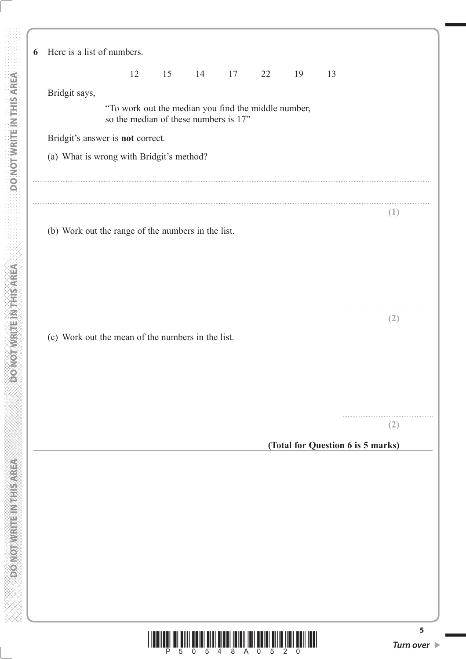**6** Here is a list of numbers. 12 15 14 17 22 19 13 Bridgit says, "To work out the median you find the middle number, so the median of these numbers is 17" Bridgit's answer is **not** correct. (a) What is wrong with Bridgit's method? .................................................................................................................................................................................................................................................. .................................................................................................................................................................................................................................................. **(1)** (b) Work out the range of the numbers in the list. ....................................................... **(2)** (c) Work out the mean of the numbers in the list. ....................................................... **(2) (Total for Question 6 is 5 marks)**

 **DO NOT WRITE IN THIS AREA DO NOT WRITE IN THIS AREA DO NOT WRITE IN THIS AREA DO NOT WRITE IN THIS AREA DO NOT** 

**PONOTHER ETHERNOLOGIC** 

**DONOTWRITEINTHIS/AREA** 

**DO NOT WRITE IN THIS AREA** 



**5**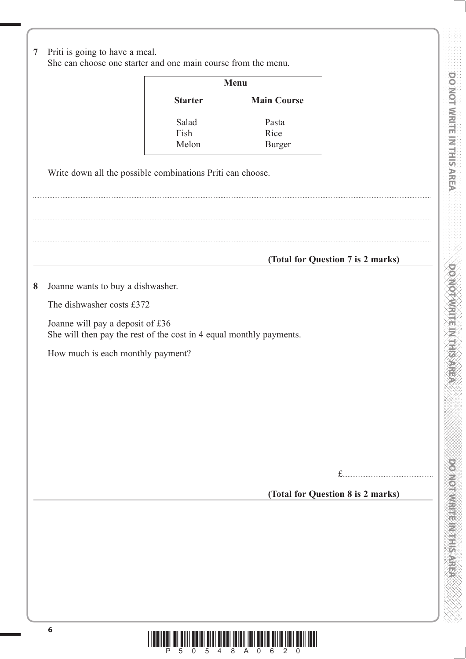|                                   |                                                                     | Menu                           |                                   |
|-----------------------------------|---------------------------------------------------------------------|--------------------------------|-----------------------------------|
|                                   | <b>Starter</b>                                                      | <b>Main Course</b>             |                                   |
|                                   | Salad<br>Fish<br>Melon                                              | Pasta<br>Rice<br><b>Burger</b> |                                   |
|                                   | Write down all the possible combinations Priti can choose.          |                                |                                   |
|                                   |                                                                     |                                |                                   |
|                                   |                                                                     |                                |                                   |
|                                   |                                                                     |                                | (Total for Question 7 is 2 marks) |
| Joanne wants to buy a dishwasher. |                                                                     |                                |                                   |
| The dishwasher costs £372         |                                                                     |                                |                                   |
| Joanne will pay a deposit of £36  | She will then pay the rest of the cost in 4 equal monthly payments. |                                |                                   |
|                                   |                                                                     |                                |                                   |
| How much is each monthly payment? |                                                                     |                                |                                   |
|                                   |                                                                     |                                |                                   |
|                                   |                                                                     |                                |                                   |
|                                   |                                                                     |                                |                                   |
|                                   |                                                                     |                                |                                   |
|                                   |                                                                     |                                |                                   |
|                                   |                                                                     |                                |                                   |



i.

i.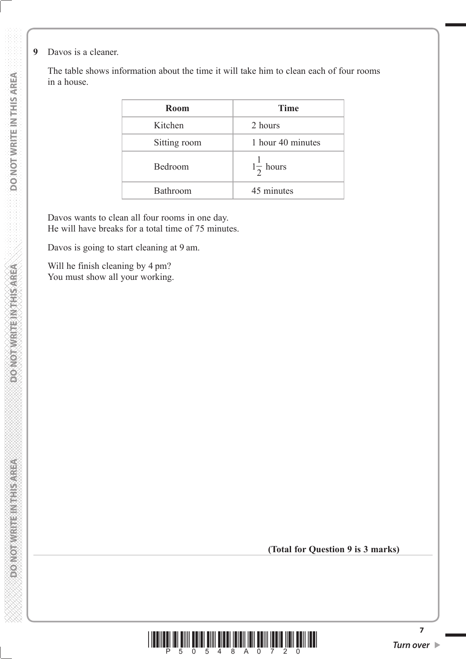**9** Davos is a cleaner.

 The table shows information about the time it will take him to clean each of four rooms in a house.

| <b>Room</b>  | <b>Time</b>          |
|--------------|----------------------|
| Kitchen      | 2 hours              |
| Sitting room | 1 hour 40 minutes    |
| Bedroom      | $1\frac{1}{2}$ hours |
| Bathroom     | 45 minutes           |

 Davos wants to clean all four rooms in one day. He will have breaks for a total time of 75 minutes.

Davos is going to start cleaning at 9 am.

 Will he finish cleaning by 4 pm? You must show all your working.

**(Total for Question 9 is 3 marks)**



**7**

**DONOT WRITEIN THIS AREA**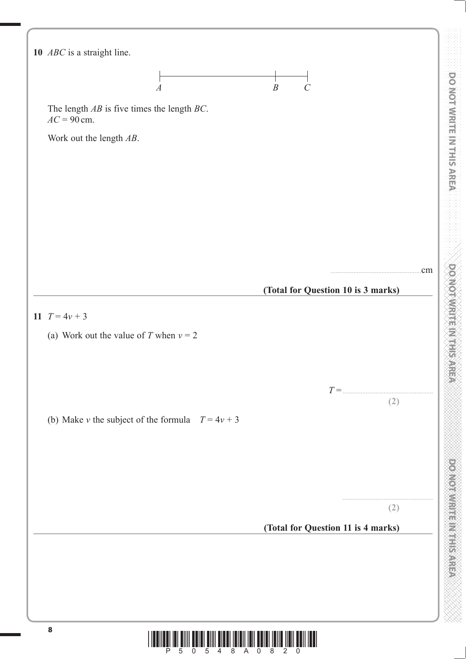

tılığı idi <sup>ş</sup>iin êdidi <sup>ş</sup>iin titul <sup>ş</sup>iidiliğidi êdidi <sup>ş</sup>iidi jodi iddi.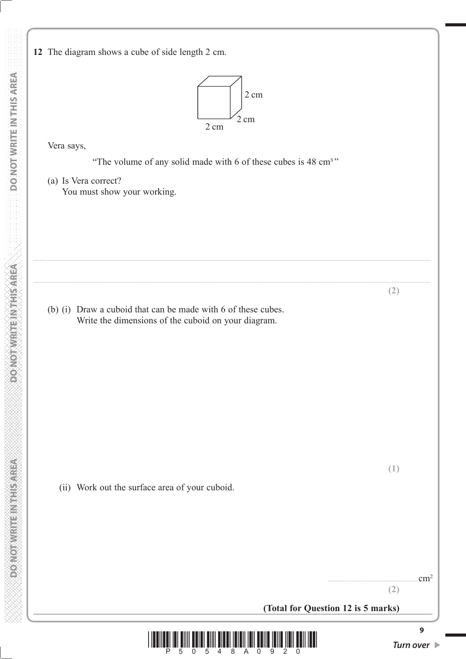**MONOTHER REPAIRING CONFORM** 

**12** The diagram shows a cube of side length 2 cm.



Vera says,

"The volume of any solid made with  $6$  of these cubes is  $48 \text{ cm}^3$ "

..................................................................................................................................................................................................................................................

..................................................................................................................................................................................................................................................

 (a) Is Vera correct? You must show your working.

 (b) (i) Draw a cuboid that can be made with 6 of these cubes. Write the dimensions of the cuboid on your diagram.

(ii) Work out the surface area of your cuboid.

 $...$ cm<sup>2</sup> **(2)**

**(2)**

**(1)**

**(Total for Question 12 is 5 marks)**



**9**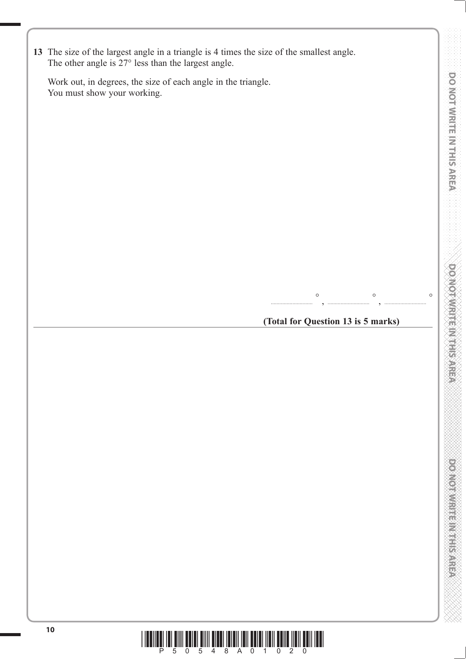| 13 The size of the largest angle in a triangle is 4 times the size of the smallest angle. |
|-------------------------------------------------------------------------------------------|
| The other angle is $27^{\circ}$ less than the largest angle.                              |

 Work out, in degrees, the size of each angle in the triangle. You must show your working.

**(Total for Question 13 is 5 marks)**

, ............................. °

............................. °

, ............................. °

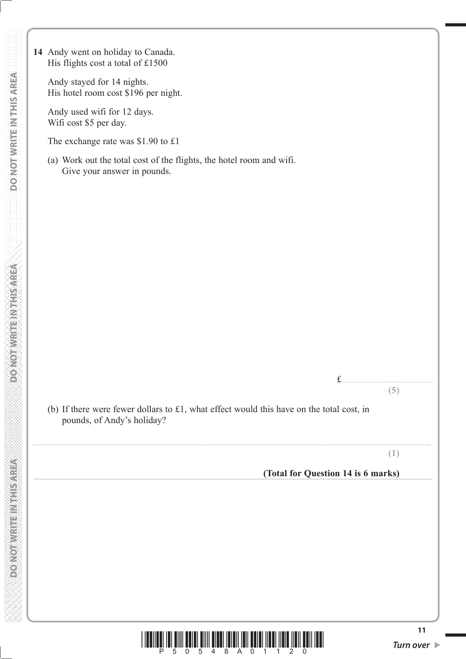**14** Andy went on holiday to Canada. His flights cost a total of £1500

> Andy stayed for 14 nights. His hotel room cost \$196 per night.

 Andy used wifi for 12 days. Wifi cost \$5 per day.

The exchange rate was \$1.90 to £1

 (a) Work out the total cost of the flights, the hotel room and wifi. Give your answer in pounds.

 (b) If there were fewer dollars to £1, what effect would this have on the total cost, in pounds, of Andy's holiday?

..................................................................................................................................................................................................................................................

**(1)**

**(5)**

#### **(Total for Question 14 is 6 marks)**

£ .......................................................



**PONOT WRITEIN RESPECT**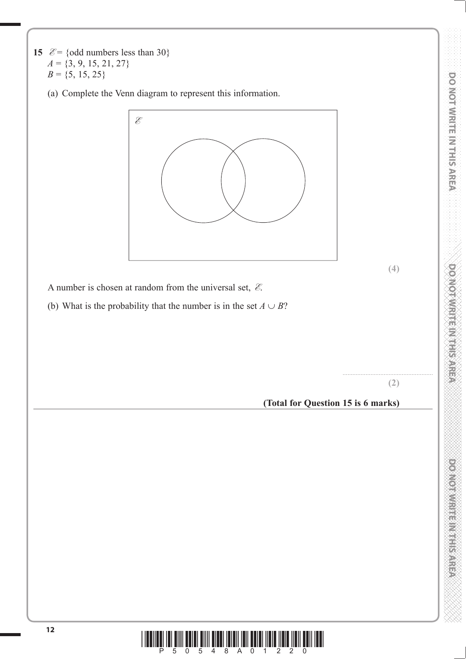**15**  $\mathcal{E} = \{\text{odd numbers less than } 30\}$  $A = \{3, 9, 15, 21, 27\}$  $B = \{5, 15, 25\}$ 

(a) Complete the Venn diagram to represent this information.



**(4)**

A number is chosen at random from the universal set, **E**.

(b) What is the probability that the number is in the set  $A \cup B$ ?

#### ....................................................... **(2)**

#### **(Total for Question 15 is 6 marks)**

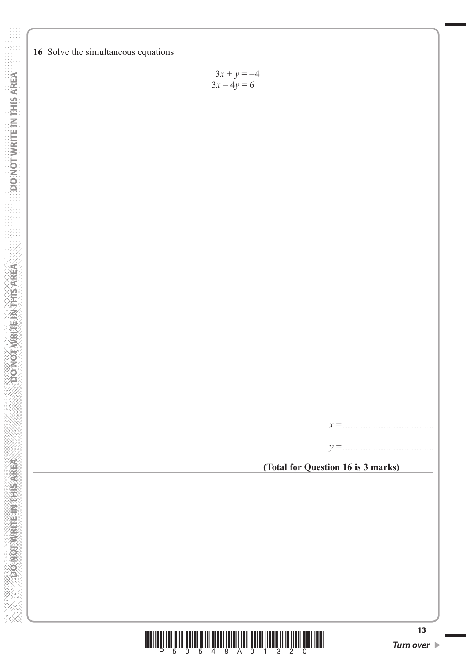

$$
3x + y = -4
$$

$$
3x - 4y = 6
$$



**(Total for Question 16 is 3 marks)**

*x* =.......................................................

*y* =.......................................................

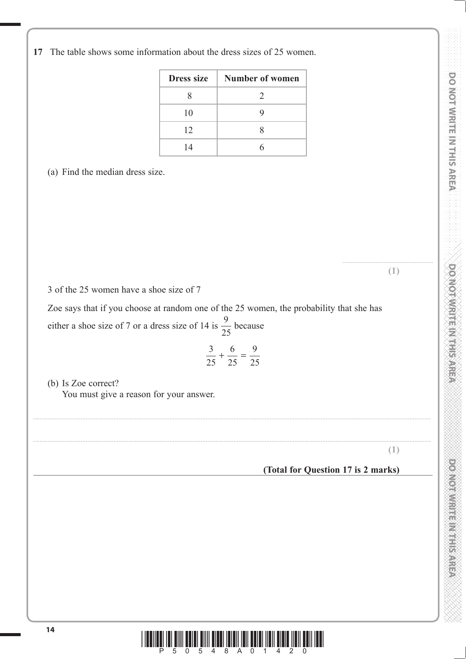**17** The table shows some information about the dress sizes of 25 women.

| <b>Dress size</b> | <b>Number of women</b>      |
|-------------------|-----------------------------|
|                   | $\mathcal{D}_{\mathcal{L}}$ |
| 10                | y                           |
| 12                |                             |
| 14                |                             |

(a) Find the median dress size.

 ....................................................... **(1)**

3 of the 25 women have a shoe size of 7

 Zoe says that if you choose at random one of the 25 women, the probability that she has either a shoe size of 7 or a dress size of 14 is  $\frac{9}{25}$  because

$$
\frac{3}{25} + \frac{6}{25} = \frac{9}{25}
$$

..................................................................................................................................................................................................................................................

..................................................................................................................................................................................................................................................

 (b) Is Zoe correct? You must give a reason for your answer.

**(1)**

### **(Total for Question 17 is 2 marks)**

DO NOT WRITE IN THIS AREA

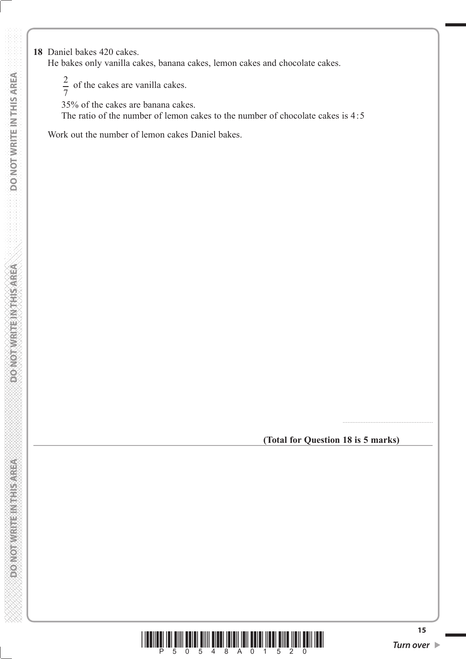**18** Daniel bakes 420 cakes.

He bakes only vanilla cakes, banana cakes, lemon cakes and chocolate cakes.

- 2  $\frac{2}{7}$  of the cakes are vanilla cakes.
- 35% of the cakes are banana cakes.

The ratio of the number of lemon cakes to the number of chocolate cakes is 4:5

Work out the number of lemon cakes Daniel bakes.

**(Total for Question 18 is 5 marks)**

.......................................................



**DONORWRITE INSTRUCTION**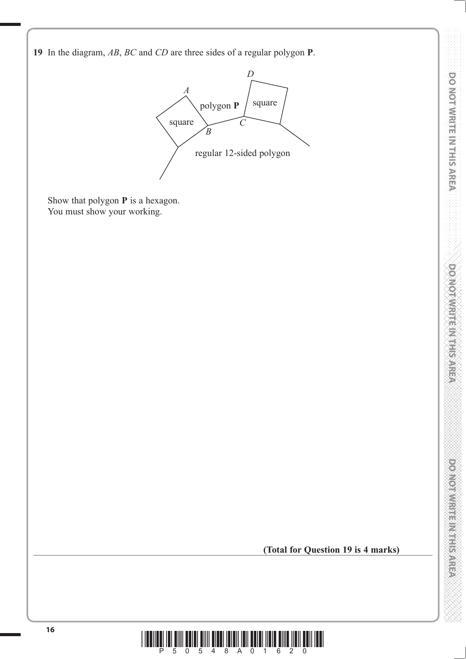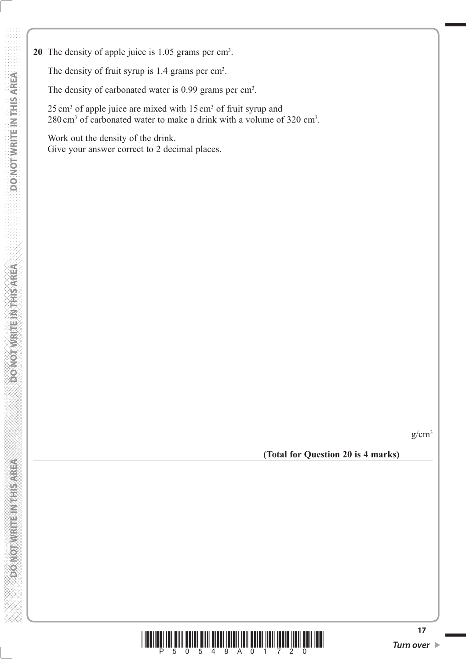20 The density of apple juice is 1.05 grams per cm<sup>3</sup>. The density of fruit syrup is  $1.4$  grams per  $\text{cm}^3$ .

The density of carbonated water is 0.99 grams per cm<sup>3</sup>.

25 cm<sup>3</sup> of apple juice are mixed with 15 cm<sup>3</sup> of fruit syrup and  $280 \text{ cm}^3$  of carbonated water to make a drink with a volume of 320 cm<sup>3</sup>.

 Work out the density of the drink. Give your answer correct to 2 decimal places.

 $g/cm<sup>3</sup>$ 

 **(Total for Question 20 is 4 marks)**



**PONOT WRITEIN THIS AREA**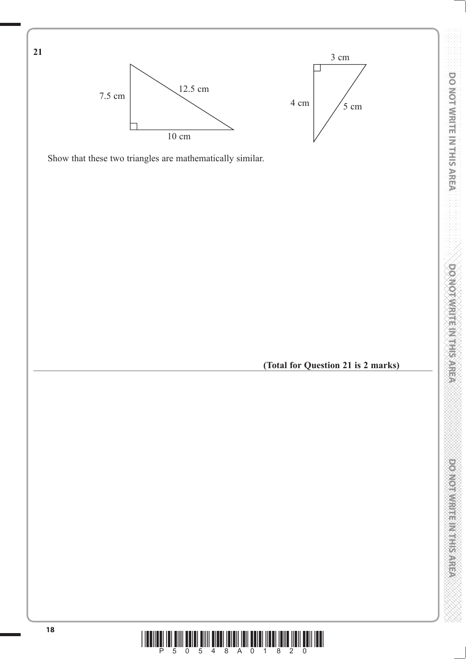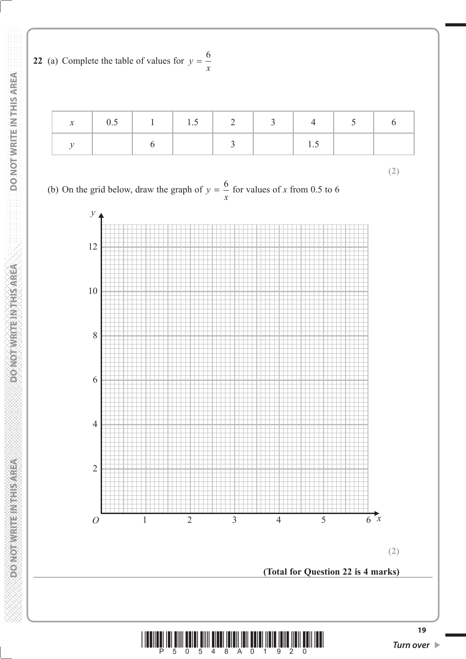

| $1 \t0.5$ | $1 \t1 \t1.5 \t2 \t3$ |  |  |  |
|-----------|-----------------------|--|--|--|
|           |                       |  |  |  |

**(2)**

(b) On the grid below, draw the graph of  $y = \frac{6}{x}$  for values of *x* from 0.5 to 6





**A SIVE REPAIRING A MARGING**